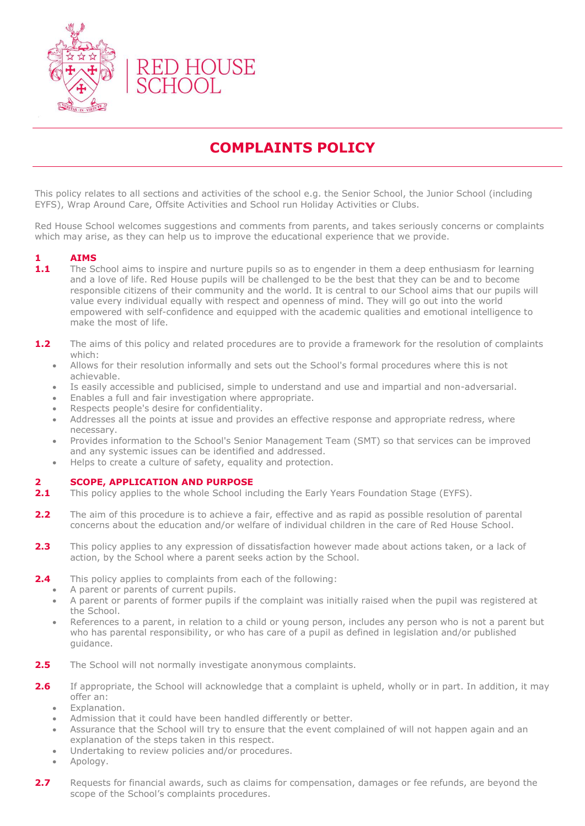

## **COMPLAINTS POLICY**

This policy relates to all sections and activities of the school e.g. the Senior School, the Junior School (including EYFS), Wrap Around Care, Offsite Activities and School run Holiday Activities or Clubs.

Red House School welcomes suggestions and comments from parents, and takes seriously concerns or complaints which may arise, as they can help us to improve the educational experience that we provide.

## **1 AIMS**

- **1.1** The School aims to inspire and nurture pupils so as to engender in them a deep enthusiasm for learning and a love of life. Red House pupils will be challenged to be the best that they can be and to become responsible citizens of their community and the world. It is central to our School aims that our pupils will value every individual equally with respect and openness of mind. They will go out into the world empowered with self-confidence and equipped with the academic qualities and emotional intelligence to make the most of life.
- **1.2** The aims of this policy and related procedures are to provide a framework for the resolution of complaints which:
	- Allows for their resolution informally and sets out the School's formal procedures where this is not achievable.
	- Is easily accessible and publicised, simple to understand and use and impartial and non-adversarial.
	- Enables a full and fair investigation where appropriate.
	- Respects people's desire for confidentiality.
	- Addresses all the points at issue and provides an effective response and appropriate redress, where necessary.
	- Provides information to the School's Senior Management Team (SMT) so that services can be improved and any systemic issues can be identified and addressed.
	- Helps to create a culture of safety, equality and protection.

### **2 SCOPE, APPLICATION AND PURPOSE**

- **2.1** This policy applies to the whole School including the Early Years Foundation Stage (EYFS).
- **2.2** The aim of this procedure is to achieve a fair, effective and as rapid as possible resolution of parental concerns about the education and/or welfare of individual children in the care of Red House School.
- **2.3** This policy applies to any expression of dissatisfaction however made about actions taken, or a lack of action, by the School where a parent seeks action by the School.
- **2.4** This policy applies to complaints from each of the following:
	- A parent or parents of current pupils.
	- A parent or parents of former pupils if the complaint was initially raised when the pupil was registered at the School.
	- References to a parent, in relation to a child or young person, includes any person who is not a parent but who has parental responsibility, or who has care of a pupil as defined in legislation and/or published guidance.
- 2.5 The School will not normally investigate anonymous complaints.
- **2.6** If appropriate, the School will acknowledge that a complaint is upheld, wholly or in part. In addition, it may offer an:
	- Explanation.
	- Admission that it could have been handled differently or better.
	- Assurance that the School will try to ensure that the event complained of will not happen again and an explanation of the steps taken in this respect.
	- Undertaking to review policies and/or procedures.
	- Apology.
- **2.7** Requests for financial awards, such as claims for compensation, damages or fee refunds, are beyond the scope of the School's complaints procedures.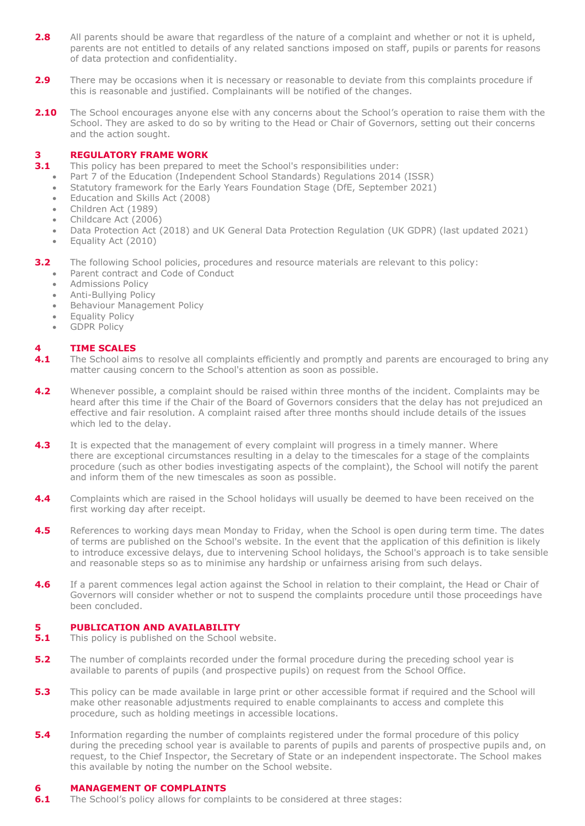- **2.8** All parents should be aware that regardless of the nature of a complaint and whether or not it is upheld, parents are not entitled to details of any related sanctions imposed on staff, pupils or parents for reasons of data protection and confidentiality.
- **2.9** There may be occasions when it is necessary or reasonable to deviate from this complaints procedure if this is reasonable and justified. Complainants will be notified of the changes.
- 2.10 The School encourages anyone else with any concerns about the School's operation to raise them with the School. They are asked to do so by writing to the Head or Chair of Governors, setting out their concerns and the action sought.

## **3 REGULATORY FRAME WORK**

- **3.1** This policy has been prepared to meet the School's responsibilities under:
	- Part 7 of the Education (Independent School Standards) Regulations 2014 (ISSR)
	- Statutory framework for the Early Years Foundation Stage (DfE, September 2021)
	- Education and Skills Act (2008)
	- Children Act (1989)
	- Childcare Act (2006)
	- Data Protection Act (2018) and UK General Data Protection Regulation (UK GDPR) (last updated 2021)
	- Equality Act (2010)

**3.2** The following School policies, procedures and resource materials are relevant to this policy:

- Parent contract and Code of Conduct
- Admissions Policy
- Anti-Bullying Policy
- Behaviour Management Policy
- Equality Policy
- GDPR Policy

## **4 TIME SCALES**

- **4.1** The School aims to resolve all complaints efficiently and promptly and parents are encouraged to bring any matter causing concern to the School's attention as soon as possible.
- **4.2** Whenever possible, a complaint should be raised within three months of the incident. Complaints may be heard after this time if the Chair of the Board of Governors considers that the delay has not prejudiced an effective and fair resolution. A complaint raised after three months should include details of the issues which led to the delay.
- **4.3** It is expected that the management of every complaint will progress in a timely manner. Where there are exceptional circumstances resulting in a delay to the timescales for a stage of the complaints procedure (such as other bodies investigating aspects of the complaint), the School will notify the parent and inform them of the new timescales as soon as possible.
- **4.4** Complaints which are raised in the School holidays will usually be deemed to have been received on the first working day after receipt.
- **4.5** References to working days mean Monday to Friday, when the School is open during term time. The dates of terms are published on the School's website. In the event that the application of this definition is likely to introduce excessive delays, due to intervening School holidays, the School's approach is to take sensible and reasonable steps so as to minimise any hardship or unfairness arising from such delays.
- **4.6** If a parent commences legal action against the School in relation to their complaint, the Head or Chair of Governors will consider whether or not to suspend the complaints procedure until those proceedings have been concluded.

## **5 PUBLICATION AND AVAILABILITY**

- **5.1** This policy is published on the School website.
- **5.2** The number of complaints recorded under the formal procedure during the preceding school year is available to parents of pupils (and prospective pupils) on request from the School Office.
- **5.3** This policy can be made available in large print or other accessible format if required and the School will make other reasonable adjustments required to enable complainants to access and complete this procedure, such as holding meetings in accessible locations.
- **5.4** Information regarding the number of complaints registered under the formal procedure of this policy during the preceding school year is available to parents of pupils and parents of prospective pupils and, on request, to the Chief Inspector, the Secretary of State or an independent inspectorate. The School makes this available by noting the number on the School website.

## **6 MANAGEMENT OF COMPLAINTS**

**6.1** The School's policy allows for complaints to be considered at three stages: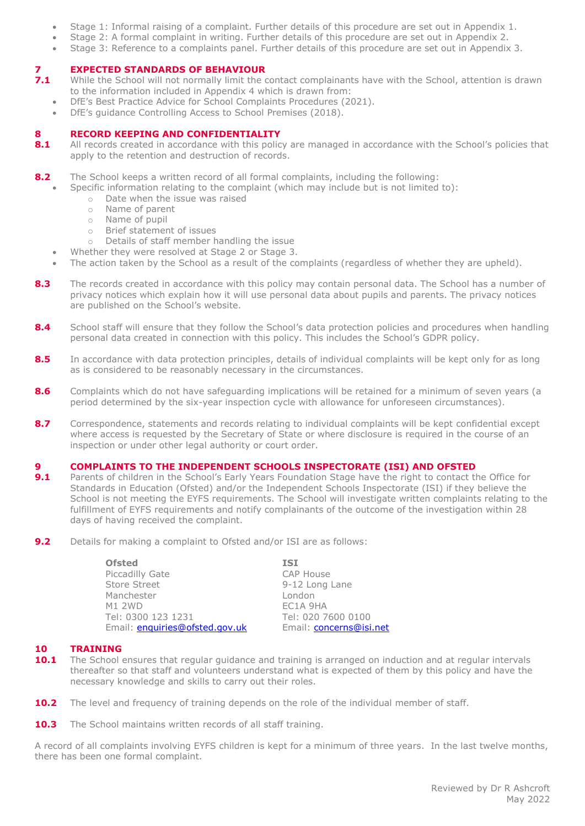- Stage 1: Informal raising of a complaint. Further details of this procedure are set out in Appendix 1.
- Stage 2: A formal complaint in writing. Further details of this procedure are set out in Appendix 2.
- Stage 3: Reference to a complaints panel. Further details of this procedure are set out in Appendix 3.

## **7 <b>EXPECTED STANDARDS OF BEHAVIOUR**<br>**7.1** While the School will not normally limit the or

- **7.1** While the School will not normally limit the contact complainants have with the School, attention is drawn to the information included in Appendix 4 which is drawn from:
	- DfE's Best Practice Advice for School Complaints Procedures (2021).
	- DfE's guidance Controlling Access to School Premises (2018).

## **8 RECORD KEEPING AND CONFIDENTIALITY**<br>**8.1** All records created in accordance with this polic

- **8.1** All records created in accordance with this policy are managed in accordance with the School's policies that apply to the retention and destruction of records.
- **8.2** The School keeps a written record of all formal complaints, including the following:
	- Specific information relating to the complaint (which may include but is not limited to):
		- o Date when the issue was raised
		- o Name of parent
		- o Name of pupil
		- o Brief statement of issues
		- o Details of staff member handling the issue
	- Whether they were resolved at Stage 2 or Stage 3.
	- The action taken by the School as a result of the complaints (regardless of whether they are upheld).
- 8.3 The records created in accordance with this policy may contain personal data. The School has a number of privacy notices which explain how it will use personal data about pupils and parents. The privacy notices are published on the School's website.
- **8.4** School staff will ensure that they follow the School's data protection policies and procedures when handling personal data created in connection with this policy. This includes the School's GDPR policy.
- 8.5 In accordance with data protection principles, details of individual complaints will be kept only for as long as is considered to be reasonably necessary in the circumstances.
- **8.6** Complaints which do not have safeguarding implications will be retained for a minimum of seven years (a period determined by the six-year inspection cycle with allowance for unforeseen circumstances).
- 8.7 Correspondence, statements and records relating to individual complaints will be kept confidential except where access is requested by the Secretary of State or where disclosure is required in the course of an inspection or under other legal authority or court order.

## **9 COMPLAINTS TO THE INDEPENDENT SCHOOLS INSPECTORATE (ISI) AND OFSTED**

- **9.1** Parents of children in the School's Early Years Foundation Stage have the right to contact the Office for Standards in Education (Ofsted) and/or the Independent Schools Inspectorate (ISI) if they believe the School is not meeting the EYFS requirements. The School will investigate written complaints relating to the fulfillment of EYFS requirements and notify complainants of the outcome of the investigation within 28 days of having received the complaint.
- **9.2** Details for making a complaint to Ofsted and/or ISI are as follows:

| <b>ISI</b>              |
|-------------------------|
| <b>CAP House</b>        |
| 9-12 Long Lane          |
| London                  |
| EC1A 9HA                |
| Tel: 020 7600 0100      |
| Email: concerns@isi.net |
|                         |

### **10 TRAINING**

- **10.1** The School ensures that regular guidance and training is arranged on induction and at regular intervals thereafter so that staff and volunteers understand what is expected of them by this policy and have the necessary knowledge and skills to carry out their roles.
- **10.2** The level and frequency of training depends on the role of the individual member of staff.
- **10.3** The School maintains written records of all staff training.

A record of all complaints involving EYFS children is kept for a minimum of three years. In the last twelve months, there has been one formal complaint.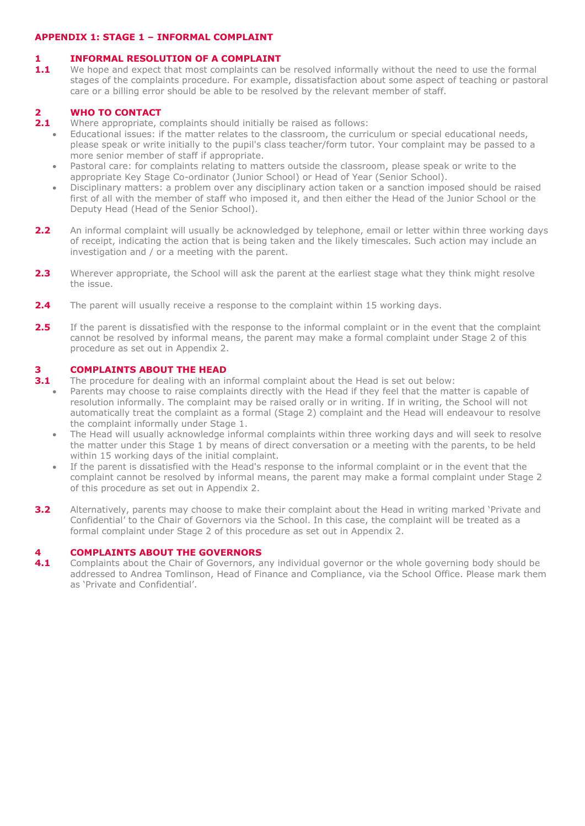## **APPENDIX 1: STAGE 1 – INFORMAL COMPLAINT**

## **1 INFORMAL RESOLUTION OF A COMPLAINT**

**1.1** We hope and expect that most complaints can be resolved informally without the need to use the formal stages of the complaints procedure. For example, dissatisfaction about some aspect of teaching or pastoral care or a billing error should be able to be resolved by the relevant member of staff.

## **2 WHO TO CONTACT**

- **2.1** Where appropriate, complaints should initially be raised as follows:
	- Educational issues: if the matter relates to the classroom, the curriculum or special educational needs, please speak or write initially to the pupil's class teacher/form tutor. Your complaint may be passed to a more senior member of staff if appropriate.
		- Pastoral care: for complaints relating to matters outside the classroom, please speak or write to the appropriate Key Stage Co-ordinator (Junior School) or Head of Year (Senior School).
		- Disciplinary matters: a problem over any disciplinary action taken or a sanction imposed should be raised first of all with the member of staff who imposed it, and then either the Head of the Junior School or the Deputy Head (Head of the Senior School).
- 2.2 An informal complaint will usually be acknowledged by telephone, email or letter within three working days of receipt, indicating the action that is being taken and the likely timescales. Such action may include an investigation and / or a meeting with the parent.
- **2.3** Wherever appropriate, the School will ask the parent at the earliest stage what they think might resolve the issue.
- **2.4** The parent will usually receive a response to the complaint within 15 working days.
- **2.5** If the parent is dissatisfied with the response to the informal complaint or in the event that the complaint cannot be resolved by informal means, the parent may make a formal complaint under Stage 2 of this procedure as set out in Appendix 2.

## **3 COMPLAINTS ABOUT THE HEAD**

- **3.1** The procedure for dealing with an informal complaint about the Head is set out below:
	- Parents may choose to raise complaints directly with the Head if they feel that the matter is capable of resolution informally. The complaint may be raised orally or in writing. If in writing, the School will not automatically treat the complaint as a formal (Stage 2) complaint and the Head will endeavour to resolve the complaint informally under Stage 1.
		- The Head will usually acknowledge informal complaints within three working days and will seek to resolve the matter under this Stage 1 by means of direct conversation or a meeting with the parents, to be held within 15 working days of the initial complaint.
		- If the parent is dissatisfied with the Head's response to the informal complaint or in the event that the complaint cannot be resolved by informal means, the parent may make a formal complaint under Stage 2 of this procedure as set out in Appendix 2.
- **3.2** Alternatively, parents may choose to make their complaint about the Head in writing marked 'Private and Confidential' to the Chair of Governors via the School. In this case, the complaint will be treated as a formal complaint under Stage 2 of this procedure as set out in Appendix 2.

## **4 <b>COMPLAINTS ABOUT THE GOVERNORS**<br>**4.1** Complaints about the Chair of Governors, a

**4.1** Complaints about the Chair of Governors, any individual governor or the whole governing body should be addressed to Andrea Tomlinson, Head of Finance and Compliance, via the School Office. Please mark them as 'Private and Confidential'.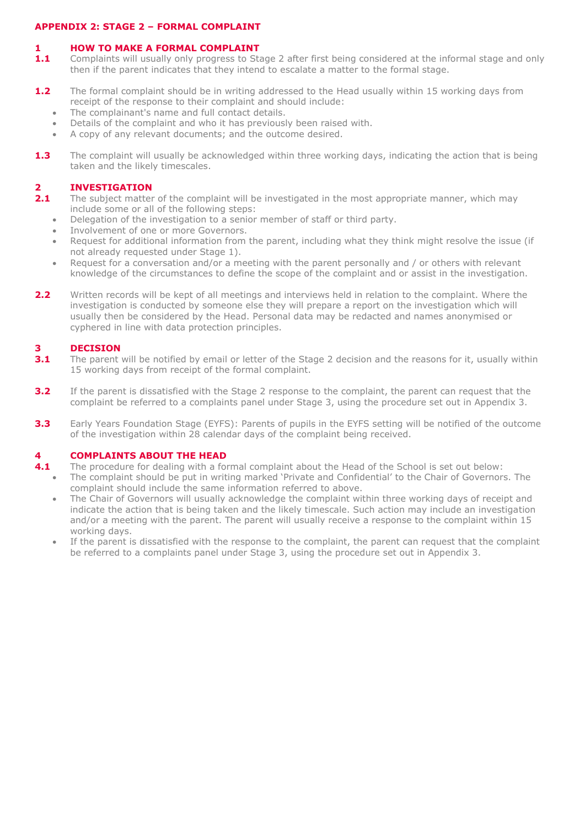## **APPENDIX 2: STAGE 2 – FORMAL COMPLAINT**

## **1 HOW TO MAKE A FORMAL COMPLAINT**

- 1.1 Complaints will usually only progress to Stage 2 after first being considered at the informal stage and only then if the parent indicates that they intend to escalate a matter to the formal stage.
- **1.2** The formal complaint should be in writing addressed to the Head usually within 15 working days from receipt of the response to their complaint and should include:
	- The complainant's name and full contact details.
	- Details of the complaint and who it has previously been raised with.
	- A copy of any relevant documents; and the outcome desired.
- **1.3** The complaint will usually be acknowledged within three working days, indicating the action that is being taken and the likely timescales.

# **2.1 INVESTIGATION**<br>**2.1** The subject matter

- **2.1** The subject matter of the complaint will be investigated in the most appropriate manner, which may include some or all of the following steps:
	- Delegation of the investigation to a senior member of staff or third party.
	- Involvement of one or more Governors.
	- Request for additional information from the parent, including what they think might resolve the issue (if not already requested under Stage 1).
	- Request for a conversation and/or a meeting with the parent personally and / or others with relevant knowledge of the circumstances to define the scope of the complaint and or assist in the investigation.
- **2.2** Written records will be kept of all meetings and interviews held in relation to the complaint. Where the investigation is conducted by someone else they will prepare a report on the investigation which will usually then be considered by the Head. Personal data may be redacted and names anonymised or cyphered in line with data protection principles.

## **3 DECISION**

- **3.1** The parent will be notified by email or letter of the Stage 2 decision and the reasons for it, usually within 15 working days from receipt of the formal complaint.
- **3.2** If the parent is dissatisfied with the Stage 2 response to the complaint, the parent can request that the complaint be referred to a complaints panel under Stage 3, using the procedure set out in Appendix 3.
- **3.3** Early Years Foundation Stage (EYFS): Parents of pupils in the EYFS setting will be notified of the outcome of the investigation within 28 calendar days of the complaint being received.

## **4 COMPLAINTS ABOUT THE HEAD**

- **4.1** The procedure for dealing with a formal complaint about the Head of the School is set out below: The complaint should be put in writing marked 'Private and Confidential' to the Chair of Governors. The complaint should include the same information referred to above.
	- The Chair of Governors will usually acknowledge the complaint within three working days of receipt and indicate the action that is being taken and the likely timescale. Such action may include an investigation and/or a meeting with the parent. The parent will usually receive a response to the complaint within 15 working days.
	- If the parent is dissatisfied with the response to the complaint, the parent can request that the complaint be referred to a complaints panel under Stage 3, using the procedure set out in Appendix 3.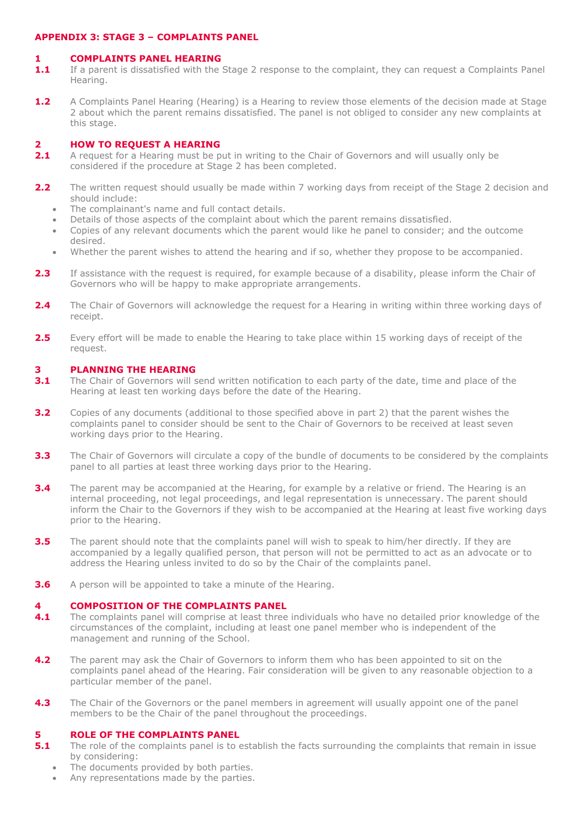## **APPENDIX 3: STAGE 3 – COMPLAINTS PANEL**

#### **1 COMPLAINTS PANEL HEARING**

- **1.1** If a parent is dissatisfied with the Stage 2 response to the complaint, they can request a Complaints Panel Hearing.
- **1.2** A Complaints Panel Hearing (Hearing) is a Hearing to review those elements of the decision made at Stage 2 about which the parent remains dissatisfied. The panel is not obliged to consider any new complaints at this stage.

## **2 <b>HOW TO REQUEST A HEARING**<br>**2.1** A request for a Hearing must be p

- **2.1** A request for a Hearing must be put in writing to the Chair of Governors and will usually only be considered if the procedure at Stage 2 has been completed.
- **2.2** The written request should usually be made within 7 working days from receipt of the Stage 2 decision and should include:
	- The complainant's name and full contact details.
	- Details of those aspects of the complaint about which the parent remains dissatisfied.
	- Copies of any relevant documents which the parent would like he panel to consider; and the outcome desired.
	- Whether the parent wishes to attend the hearing and if so, whether they propose to be accompanied.
- **2.3** If assistance with the request is required, for example because of a disability, please inform the Chair of Governors who will be happy to make appropriate arrangements.
- **2.4** The Chair of Governors will acknowledge the request for a Hearing in writing within three working days of receipt.
- **2.5** Every effort will be made to enable the Hearing to take place within 15 working days of receipt of the request.

## **3 PLANNING THE HEARING**

- **3.1** The Chair of Governors will send written notification to each party of the date, time and place of the Hearing at least ten working days before the date of the Hearing.
- **3.2** Copies of any documents (additional to those specified above in part 2) that the parent wishes the complaints panel to consider should be sent to the Chair of Governors to be received at least seven working days prior to the Hearing.
- **3.3** The Chair of Governors will circulate a copy of the bundle of documents to be considered by the complaints panel to all parties at least three working days prior to the Hearing.
- **3.4** The parent may be accompanied at the Hearing, for example by a relative or friend. The Hearing is an internal proceeding, not legal proceedings, and legal representation is unnecessary. The parent should inform the Chair to the Governors if they wish to be accompanied at the Hearing at least five working days prior to the Hearing.
- **3.5** The parent should note that the complaints panel will wish to speak to him/her directly. If they are accompanied by a legally qualified person, that person will not be permitted to act as an advocate or to address the Hearing unless invited to do so by the Chair of the complaints panel.
- **3.6** A person will be appointed to take a minute of the Hearing.

### **4 COMPOSITION OF THE COMPLAINTS PANEL**

- **4.1** The complaints panel will comprise at least three individuals who have no detailed prior knowledge of the circumstances of the complaint, including at least one panel member who is independent of the management and running of the School.
- **4.2** The parent may ask the Chair of Governors to inform them who has been appointed to sit on the complaints panel ahead of the Hearing. Fair consideration will be given to any reasonable objection to a particular member of the panel.
- **4.3** The Chair of the Governors or the panel members in agreement will usually appoint one of the panel members to be the Chair of the panel throughout the proceedings.

### **5 ROLE OF THE COMPLAINTS PANEL**

- **5.1** The role of the complaints panel is to establish the facts surrounding the complaints that remain in issue by considering:
	- The documents provided by both parties.
	- Any representations made by the parties.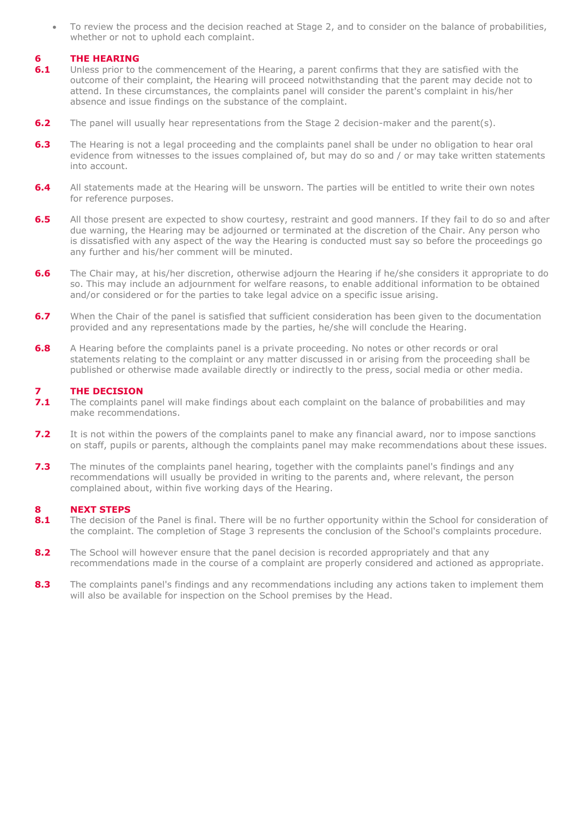To review the process and the decision reached at Stage 2, and to consider on the balance of probabilities, whether or not to uphold each complaint.

## **6 THE HEARING**

- **6.1** Unless prior to the commencement of the Hearing, a parent confirms that they are satisfied with the outcome of their complaint, the Hearing will proceed notwithstanding that the parent may decide not to attend. In these circumstances, the complaints panel will consider the parent's complaint in his/her absence and issue findings on the substance of the complaint.
- **6.2** The panel will usually hear representations from the Stage 2 decision-maker and the parent(s).
- **6.3** The Hearing is not a legal proceeding and the complaints panel shall be under no obligation to hear oral evidence from witnesses to the issues complained of, but may do so and / or may take written statements into account.
- **6.4** All statements made at the Hearing will be unsworn. The parties will be entitled to write their own notes for reference purposes.
- **6.5** All those present are expected to show courtesy, restraint and good manners. If they fail to do so and after due warning, the Hearing may be adjourned or terminated at the discretion of the Chair. Any person who is dissatisfied with any aspect of the way the Hearing is conducted must say so before the proceedings go any further and his/her comment will be minuted.
- **6.6** The Chair may, at his/her discretion, otherwise adjourn the Hearing if he/she considers it appropriate to do so. This may include an adjournment for welfare reasons, to enable additional information to be obtained and/or considered or for the parties to take legal advice on a specific issue arising.
- **6.7** When the Chair of the panel is satisfied that sufficient consideration has been given to the documentation provided and any representations made by the parties, he/she will conclude the Hearing.
- **6.8** A Hearing before the complaints panel is a private proceeding. No notes or other records or oral statements relating to the complaint or any matter discussed in or arising from the proceeding shall be published or otherwise made available directly or indirectly to the press, social media or other media.

## **7.1 THE DECISION**<br>**7.1** The complaints **r**

- **7.1** The complaints panel will make findings about each complaint on the balance of probabilities and may make recommendations.
- **7.2** It is not within the powers of the complaints panel to make any financial award, nor to impose sanctions on staff, pupils or parents, although the complaints panel may make recommendations about these issues.
- **7.3** The minutes of the complaints panel hearing, together with the complaints panel's findings and any recommendations will usually be provided in writing to the parents and, where relevant, the person complained about, within five working days of the Hearing.

### **8 NEXT STEPS**

- 8.1 The decision of the Panel is final. There will be no further opportunity within the School for consideration of the complaint. The completion of Stage 3 represents the conclusion of the School's complaints procedure.
- **8.2** The School will however ensure that the panel decision is recorded appropriately and that any recommendations made in the course of a complaint are properly considered and actioned as appropriate.
- 8.3 The complaints panel's findings and any recommendations including any actions taken to implement them will also be available for inspection on the School premises by the Head.